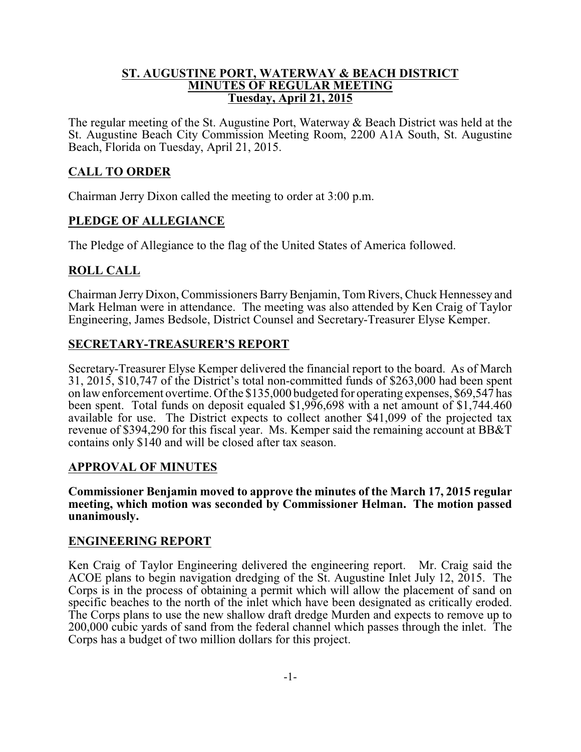#### **ST. AUGUSTINE PORT, WATERWAY & BEACH DISTRICT MINUTES OF REGULAR MEETING Tuesday, April 21, 2015**

The regular meeting of the St. Augustine Port, Waterway & Beach District was held at the St. Augustine Beach City Commission Meeting Room, 2200 A1A South, St. Augustine Beach, Florida on Tuesday, April 21, 2015.

## **CALL TO ORDER**

Chairman Jerry Dixon called the meeting to order at 3:00 p.m.

## **PLEDGE OF ALLEGIANCE**

The Pledge of Allegiance to the flag of the United States of America followed.

## **ROLL CALL**

Chairman Jerry Dixon, Commissioners Barry Benjamin, Tom Rivers, Chuck Hennessey and Mark Helman were in attendance. The meeting was also attended by Ken Craig of Taylor Engineering, James Bedsole, District Counsel and Secretary-Treasurer Elyse Kemper.

### **SECRETARY-TREASURER'S REPORT**

Secretary-Treasurer Elyse Kemper delivered the financial report to the board. As of March 31, 2015, \$10,747 of the District's total non-committed funds of \$263,000 had been spent on law enforcement overtime. Of the \$135,000 budgeted for operating expenses, \$69,547 has been spent. Total funds on deposit equaled \$1,996,698 with a net amount of \$1,744.460 available for use. The District expects to collect another \$41,099 of the projected tax revenue of \$394,290 for this fiscal year. Ms. Kemper said the remaining account at BB&T contains only \$140 and will be closed after tax season.

### **APPROVAL OF MINUTES**

**Commissioner Benjamin moved to approve the minutes of the March 17, 2015 regular meeting, which motion was seconded by Commissioner Helman. The motion passed unanimously.**

### **ENGINEERING REPORT**

Ken Craig of Taylor Engineering delivered the engineering report. Mr. Craig said the ACOE plans to begin navigation dredging of the St. Augustine Inlet July 12, 2015. The Corps is in the process of obtaining a permit which will allow the placement of sand on specific beaches to the north of the inlet which have been designated as critically eroded. The Corps plans to use the new shallow draft dredge Murden and expects to remove up to 200,000 cubic yards of sand from the federal channel which passes through the inlet. The Corps has a budget of two million dollars for this project.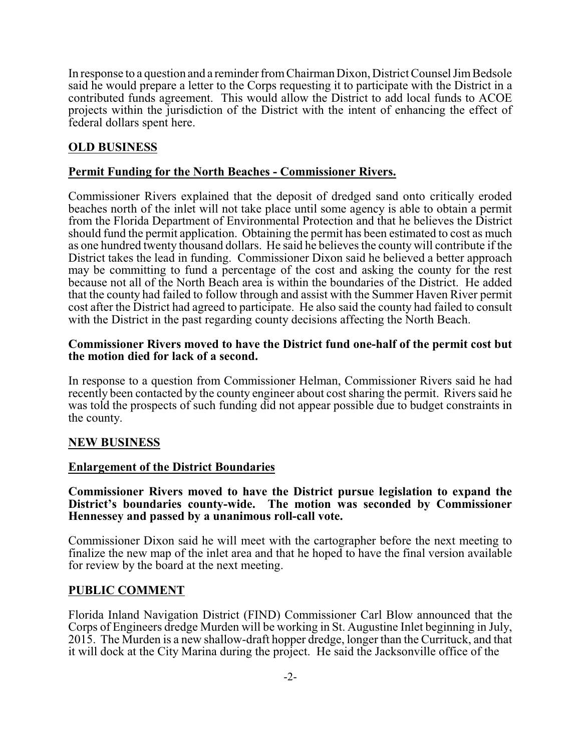In response to a question and a reminder fromChairman Dixon, District Counsel JimBedsole said he would prepare a letter to the Corps requesting it to participate with the District in a contributed funds agreement. This would allow the District to add local funds to ACOE projects within the jurisdiction of the District with the intent of enhancing the effect of federal dollars spent here.

# **OLD BUSINESS**

## **Permit Funding for the North Beaches - Commissioner Rivers.**

Commissioner Rivers explained that the deposit of dredged sand onto critically eroded beaches north of the inlet will not take place until some agency is able to obtain a permit from the Florida Department of Environmental Protection and that he believes the District should fund the permit application. Obtaining the permit has been estimated to cost as much as one hundred twenty thousand dollars. He said he believes the county will contribute if the District takes the lead in funding. Commissioner Dixon said he believed a better approach may be committing to fund a percentage of the cost and asking the county for the rest because not all of the North Beach area is within the boundaries of the District. He added that the county had failed to follow through and assist with the Summer Haven River permit cost after the District had agreed to participate. He also said the county had failed to consult with the District in the past regarding county decisions affecting the North Beach.

#### **Commissioner Rivers moved to have the District fund one-half of the permit cost but the motion died for lack of a second.**

In response to a question from Commissioner Helman, Commissioner Rivers said he had recently been contacted by the county engineer about cost sharing the permit. Rivers said he was told the prospects of such funding did not appear possible due to budget constraints in the county.

# **NEW BUSINESS**

### **Enlargement of the District Boundaries**

#### **Commissioner Rivers moved to have the District pursue legislation to expand the District's boundaries county-wide. The motion was seconded by Commissioner Hennessey and passed by a unanimous roll-call vote.**

Commissioner Dixon said he will meet with the cartographer before the next meeting to finalize the new map of the inlet area and that he hoped to have the final version available for review by the board at the next meeting.

### **PUBLIC COMMENT**

Florida Inland Navigation District (FIND) Commissioner Carl Blow announced that the Corps of Engineers dredge Murden will be working in St. Augustine Inlet beginning in July, 2015. The Murden is a new shallow-draft hopper dredge, longer than the Currituck, and that it will dock at the City Marina during the project. He said the Jacksonville office of the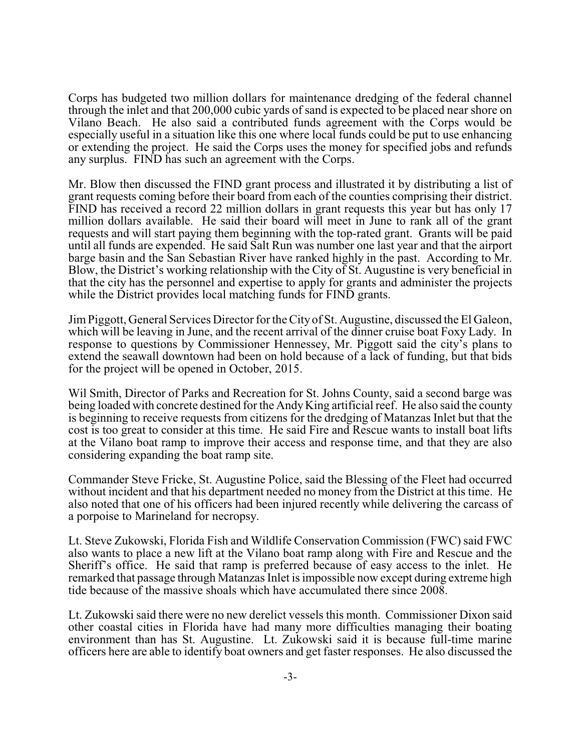Corps has budgeted two million dollars for maintenance dredging of the federal channel through the inlet and that 200,000 cubic yards of sand is expected to be placed near shore on Vilano Beach. He also said a contributed funds agreement with the Corps would be especially useful in a situation like this one where local funds could be put to use enhancing or extending the project. He said the Corps uses the money for specified jobs and refunds any surplus. FIND has such an agreement with the Corps.

Mr. Blow then discussed the FIND grant process and illustrated it by distributing a list of grant requests coming before their board from each of the counties comprising their district. FIND has received a record 22 million dollars in grant requests this year but has only 17 million dollars available. He said their board will meet in June to rank all of the grant requests and will start paying them beginning with the top-rated grant. Grants will be paid until all funds are expended. He said Salt Run was number one last year and that the airport barge basin and the San Sebastian River have ranked highly in the past. According to Mr. Blow, the District's working relationship with the City of St. Augustine is very beneficial in that the city has the personnel and expertise to apply for grants and administer the projects while the District provides local matching funds for FIND grants.

JimPiggott, General Services Director for the City of St. Augustine, discussed the El Galeon, which will be leaving in June, and the recent arrival of the dinner cruise boat Foxy Lady. In response to questions by Commissioner Hennessey, Mr. Piggott said the city's plans to extend the seawall downtown had been on hold because of a lack of funding, but that bids for the project will be opened in October, 2015.

Wil Smith, Director of Parks and Recreation for St. Johns County, said a second barge was being loaded with concrete destined for the AndyKing artificial reef. He also said the county is beginning to receive requests from citizens for the dredging of Matanzas Inlet but that the cost is too great to consider at this time. He said Fire and Rescue wants to install boat lifts at the Vilano boat ramp to improve their access and response time, and that they are also considering expanding the boat ramp site.

Commander Steve Fricke, St. Augustine Police, said the Blessing of the Fleet had occurred without incident and that his department needed no money from the District at this time. He also noted that one of his officers had been injured recently while delivering the carcass of a porpoise to Marineland for necropsy.

Lt. Steve Zukowski, Florida Fish and Wildlife Conservation Commission (FWC) said FWC also wants to place a new lift at the Vilano boat ramp along with Fire and Rescue and the Sheriff's office. He said that ramp is preferred because of easy access to the inlet. He remarked that passage through Matanzas Inlet is impossible now except during extreme high tide because of the massive shoals which have accumulated there since 2008.

Lt. Zukowski said there were no new derelict vessels this month. Commissioner Dixon said other coastal cities in Florida have had many more difficulties managing their boating environment than has St. Augustine. Lt. Zukowski said it is because full-time marine officers here are able to identify boat owners and get faster responses. He also discussed the